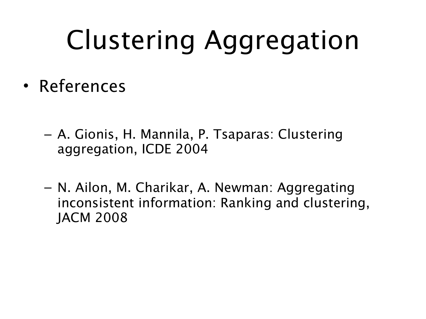## Clustering Aggregation

- References
	- A. Gionis, H. Mannila, P. Tsaparas: Clustering aggregation, ICDE 2004
	- N. Ailon, M. Charikar, A. Newman: Aggregating inconsistent information: Ranking and clustering, JACM 2008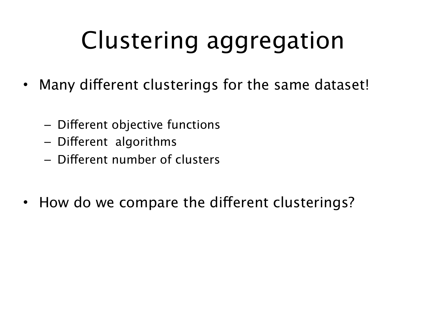#### Clustering aggregation

- Many diferent clusterings for the same dataset!
	- Diferent objective functions
	- Diferent algorithms
	- Diferent number of clusters
- How do we compare the different clusterings?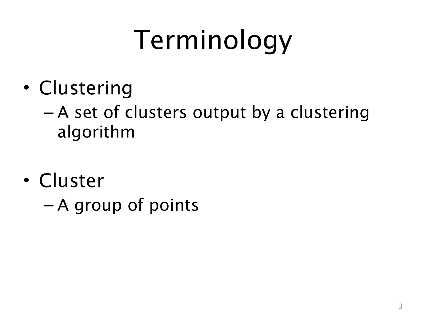# Terminology

- Clustering
	- A set of clusters output by a clustering algorithm
- Cluster
	- A group of points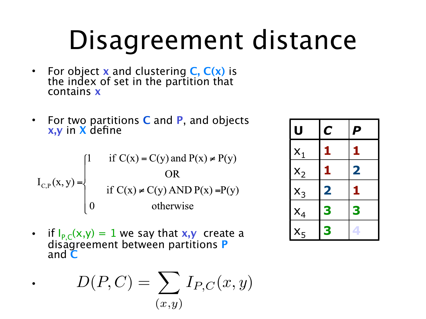### Disagreement distance

- For object **x** and clustering **C, C(x)** is the index of set in the partition that contains **x**
- For two partitions **C** and **P**, and objects **x,y** in **X** define

$$
I_{C,P}(x,y) = \begin{cases} 1 & \text{if } C(x) = C(y) \text{ and } P(x) \neq P(y) \\ & \text{or} \\ \text{if } C(x) \neq C(y) \text{ AND } P(x) = P(y) \\ 0 & \text{otherwise} \end{cases}
$$

• if  $I_{P,C}(x,y) = 1$  we say that  $x,y$  create a disagreement between partitions **P** and **C** 

$$
D(P,C) = \sum_{(x,y)} I_{P,C}(x,y)
$$

•

| U     | $\boldsymbol{\mathsf{C}}$ | P                       |
|-------|---------------------------|-------------------------|
| $X_1$ | 1                         | 1                       |
| $X_2$ | 1                         | $\overline{\mathbf{2}}$ |
| $X_3$ | $\overline{\mathbf{2}}$   | 1                       |
| $X_4$ | 3                         | 3                       |
| $X_5$ | 3                         |                         |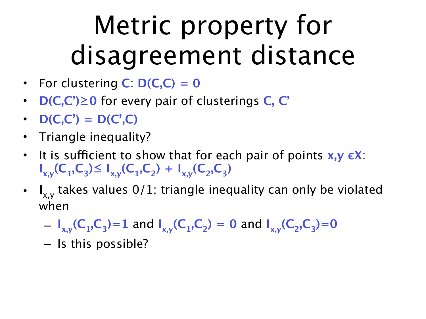### Metric property for disagreement distance

- For clustering  $C: D(C, C) = 0$
- **D(C,C')≥0** for every pair of clusterings **C, C'**
- $D(C,C') = D(C',C)$
- Triangle inequality?
- It is sufficient to show that for each pair of points  $x, y \in X$ :  $\mathbf{I}_{x,y}(\mathsf{C}_1,\mathsf{C}_3) \leq \mathbf{I}_{x,y}(\mathsf{C}_1,\mathsf{C}_2) + \mathbf{I}_{x,y}(\mathsf{C}_2,\mathsf{C}_3)$
- **I** x,y takes values 0/1; triangle inequality can only be violated when
	- $I_{x,y}(C_1,C_3)=1$  and  $I_{x,y}(C_1,C_2) = 0$  and  $I_{x,y}(C_2,C_3)=0$
	- Is this possible?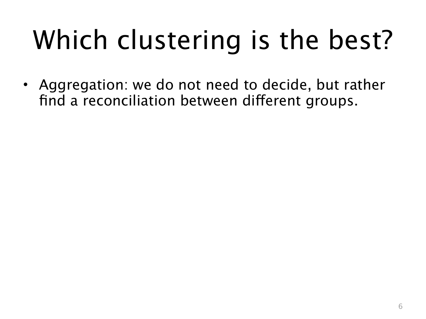# Which clustering is the best?

• Aggregation: we do not need to decide, but rather find a reconciliation between diferent groups.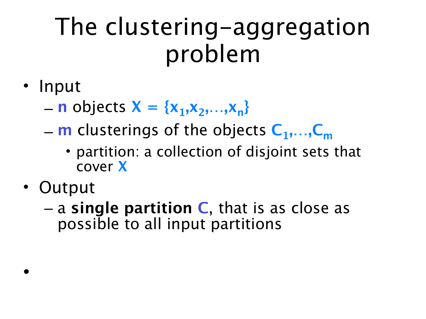#### The clustering-aggregation problem

#### • Input

- $-$  **n** objects  $X = \{x_1, x_2, ..., x_n\}$
- **m** clusterings of the objects **C1,…,Cm**
	- partition: a collection of disjoint sets that cover **X**
- Output

•

– a **single partition C**, that is as close as possible to all input partitions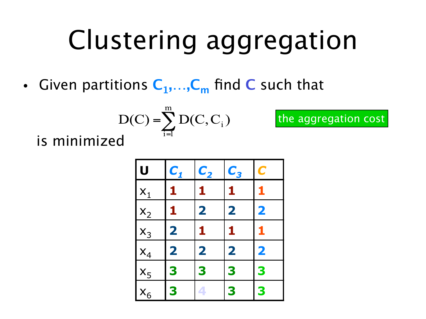### Clustering aggregation

the aggregation cost

• Given partitions  $C_1,...,C_m$  find C such that

$$
D(C) = \sum_{i=1}^{m} D(C, C_i)
$$

is minimized

| υ                                                       | $C_1$                   | $C_{2}$                 | $C_3$                   | $\overline{\mathbf{C}}$ |
|---------------------------------------------------------|-------------------------|-------------------------|-------------------------|-------------------------|
| $\frac{1}{1}$                                           | 1                       | 1                       | 1                       | 1                       |
|                                                         | 1                       | $\overline{\mathbf{2}}$ | $\overline{\mathbf{2}}$ | $\overline{\mathbf{2}}$ |
|                                                         | $\overline{\mathbf{2}}$ | 1                       | 1                       | 1                       |
|                                                         | $\overline{\mathbf{2}}$ | $\overline{\mathbf{2}}$ | $\overline{\mathbf{2}}$ | $\overline{\mathbf{2}}$ |
| $\begin{array}{r} x_2 \\ x_3 \\ x_4 \\ x_5 \end{array}$ | 3                       | 3                       | 3                       | 3                       |
| $x_6$                                                   | 3                       |                         | 3                       | 3                       |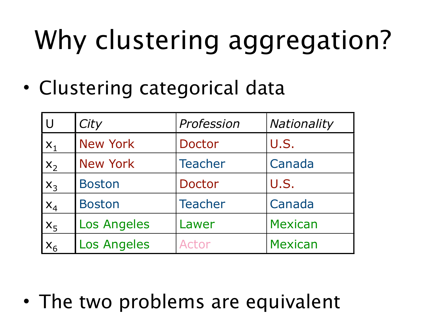• Clustering categorical data

| <b>U</b> | City               | Profession     | Nationality    |
|----------|--------------------|----------------|----------------|
| $X_1$    | <b>New York</b>    | Doctor         | U.S.           |
| $X_2$    | <b>New York</b>    | <b>Teacher</b> | Canada         |
| $X_3$    | <b>Boston</b>      | Doctor         | U.S.           |
| $X_4$    | <b>Boston</b>      | <b>Teacher</b> | Canada         |
| $X_5$    | <b>Los Angeles</b> | Lawer          | <b>Mexican</b> |
| $X_6$    | <b>Los Angeles</b> | Actor          | <b>Mexican</b> |

• The two problems are equivalent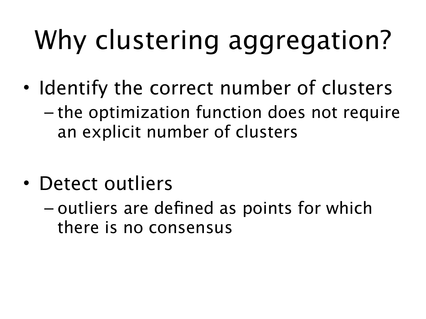- Identify the correct number of clusters
	- the optimization function does not require an explicit number of clusters
- Detect outliers
	- outliers are defined as points for which there is no consensus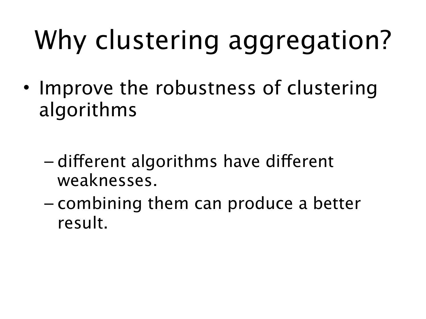- Improve the robustness of clustering algorithms
	- diferent algorithms have diferent weaknesses.
	- combining them can produce a better result.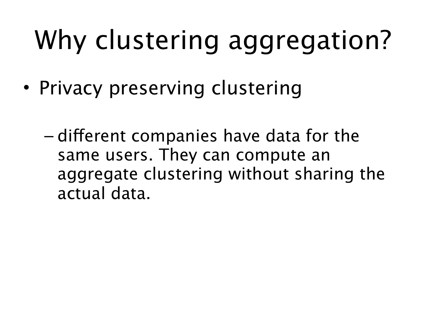- Privacy preserving clustering
	- diferent companies have data for the same users. They can compute an aggregate clustering without sharing the actual data.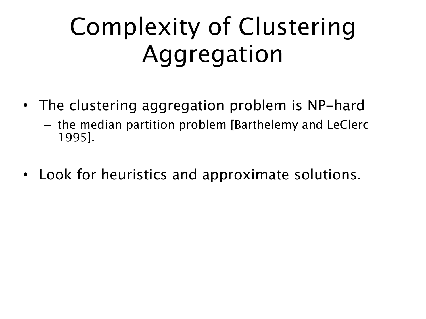#### Complexity of Clustering Aggregation

- The clustering aggregation problem is NP-hard
	- the median partition problem [Barthelemy and LeClerc 1995].
- Look for heuristics and approximate solutions.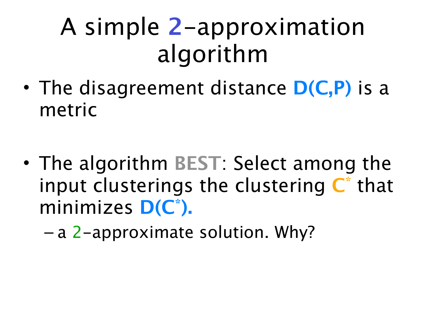#### A simple **2**-approximation algorithm

- The disagreement distance **D(C,P)** is a metric
- The algorithm **BEST**: Select among the input clusterings the clustering **C\*** that minimizes **D(C\*).**

– a 2-approximate solution. Why?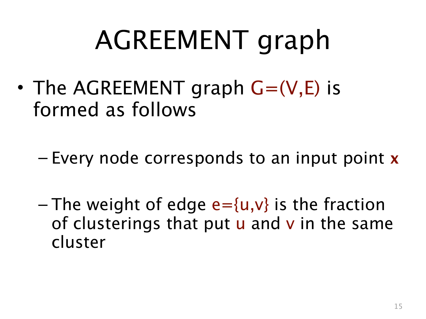### AGREEMENT graph

- The AGREEMENT graph  $G=(V,E)$  is formed as follows
	- Every node corresponds to an input point **x**
	- The weight of edge  $e = \{u, v\}$  is the fraction of clusterings that put  $u$  and  $v$  in the same cluster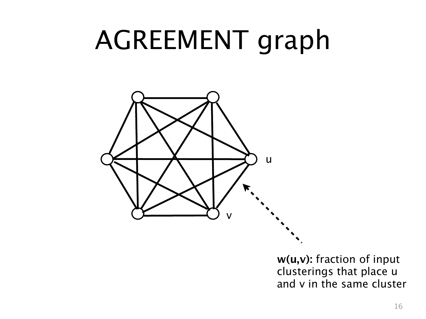#### AGREEMENT graph



**w(u,v):** fraction of input clusterings that place u and v in the same cluster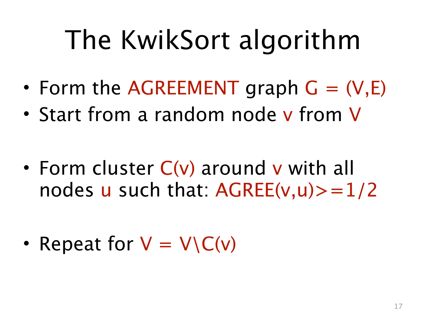### The KwikSort algorithm

- Form the AGREEMENT graph  $G = (V,E)$
- Start from a random node v from V
- Form cluster C(v) around v with all nodes u such that:  $AGREE(v, u) > 1/2$
- Repeat for  $V = V\setminus C(v)$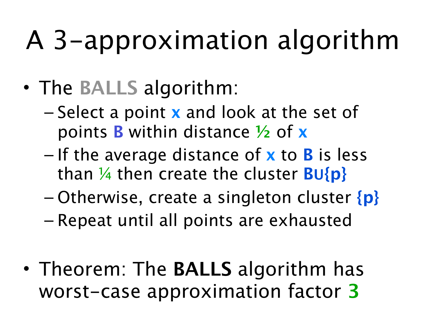### A 3-approximation algorithm

- The **BALLS** algorithm:
	- Select a point **x** and look at the set of points **B** within distance **½** of **x**
	- If the average distance of **x** to **B** is less than ¼ then create the cluster **BU{p}**
	- Otherwise, create a singleton cluster **{p}**
	- Repeat until all points are exhausted
- Theorem: The **BALLS** algorithm has worst-case approximation factor **3**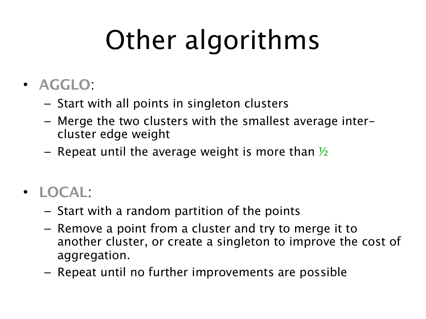# Other algorithms

- **AGGLO**:
	- Start with all points in singleton clusters
	- Merge the two clusters with the smallest average intercluster edge weight
	- Repeat until the average weight is more than  $\frac{1}{2}$
- **LOCAL**:
	- Start with a random partition of the points
	- Remove a point from a cluster and try to merge it to another cluster, or create a singleton to improve the cost of aggregation.
	- Repeat until no further improvements are possible